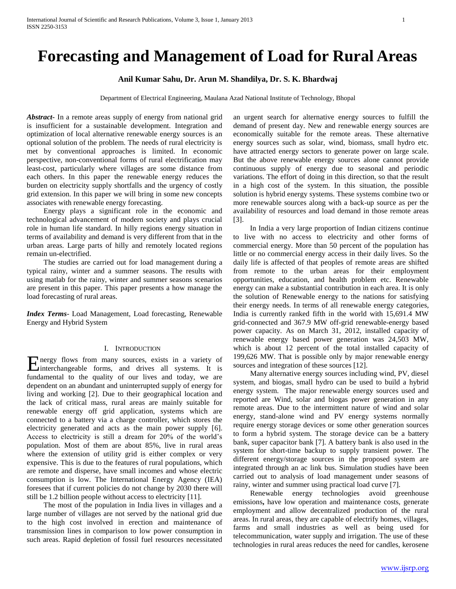# **Forecasting and Management of Load for Rural Areas**

# **Anil Kumar Sahu, Dr. Arun M. Shandilya, Dr. S. K. Bhardwaj**

Department of Electrical Engineering, Maulana Azad National Institute of Technology, Bhopal

*Abstract***-** In a remote areas supply of energy from national grid is insufficient for a sustainable development. Integration and optimization of local alternative renewable energy sources is an optional solution of the problem. The needs of rural electricity is met by conventional approaches is limited. In economic perspective, non-conventional forms of rural electrification may least-cost, particularly where villages are some distance from each others. In this paper the renewable energy reduces the burden on electricity supply shortfalls and the urgency of costly grid extension. In this paper we will bring in some new concepts associates with renewable energy forecasting.

 Energy plays a significant role in the economic and technological advancement of modern society and plays crucial role in human life standard. In hilly regions energy situation in terms of availability and demand is very different from that in the urban areas. Large parts of hilly and remotely located regions remain un-electrified.

 The studies are carried out for load management during a typical rainy, winter and a summer seasons. The results with using matlab for the rainy, winter and summer seasons scenarios are present in this paper. This paper presents a how manage the load forecasting of rural areas.

*Index Terms*- Load Management, Load forecasting, Renewable Energy and Hybrid System

## I. INTRODUCTION

nergy flows from many sources, exists in a variety of Energy flows from many sources, exists in a variety of interchangeable forms, and drives all systems. It is fundamental to the quality of our lives and today, we are dependent on an abundant and uninterrupted supply of energy for living and working [2]. Due to their geographical location and the lack of critical mass, rural areas are mainly suitable for renewable energy off grid application, systems which are connected to a battery via a charge controller, which stores the electricity generated and acts as the main power supply [6]. Access to electricity is still a dream for 20% of the world's population. Most of them are about 85%, live in rural areas where the extension of utility grid is either complex or very expensive. This is due to the features of rural populations, which are remote and disperse, have small incomes and whose electric consumption is low. The International Energy Agency (IEA) foresees that if current policies do not change by 2030 there will still be 1.2 billion people without access to electricity [11].

 The most of the population in India lives in villages and a large number of villages are not served by the national grid due to the high cost involved in erection and maintenance of transmission lines in comparison to low power consumption in such areas. Rapid depletion of fossil fuel resources necessitated

an urgent search for alternative energy sources to fulfill the demand of present day. New and renewable energy sources are economically suitable for the remote areas. These alternative energy sources such as solar, wind, biomass, small hydro etc. have attracted energy sectors to generate power on large scale. But the above renewable energy sources alone cannot provide continuous supply of energy due to seasonal and periodic variations. The effort of doing in this direction, so that the result in a high cost of the system. In this situation, the possible solution is hybrid energy systems. These systems combine two or more renewable sources along with a back-up source as per the availability of resources and load demand in those remote areas [3].

 In India a very large proportion of Indian citizens continue to live with no access to electricity and other forms of commercial energy. More than 50 percent of the population has little or no commercial energy access in their daily lives. So the daily life is affected of that peoples of remote areas are shifted from remote to the urban areas for their employment opportunities, education, and health problem etc. Renewable energy can make a substantial contribution in each area. It is only the solution of Renewable energy to the nations for satisfying their energy needs. In terms of all renewable energy categories, India is currently ranked fifth in the world with 15,691.4 MW grid-connected and 367.9 MW off-grid renewable-energy based power capacity. As on March 31, 2012, installed capacity of renewable energy based power generation was 24,503 MW, which is about 12 percent of the total installed capacity of 199,626 MW. That is possible only by major renewable energy sources and integration of these sources [12].

 Many alternative energy sources including wind, PV, diesel system, and biogas, small hydro can be used to build a hybrid energy system. The major renewable energy sources used and reported are Wind, solar and biogas power generation in any remote areas. Due to the intermittent nature of wind and solar energy, stand-alone wind and PV energy systems normally require energy storage devices or some other generation sources to form a hybrid system. The storage device can be a battery bank, super capacitor bank [7]. A battery bank is also used in the system for short-time backup to supply transient power. The different energy/storage sources in the proposed system are integrated through an ac link bus. Simulation studies have been carried out to analysis of load management under seasons of rainy, winter and summer using practical load curve [7].

 Renewable energy technologies avoid greenhouse emissions**,** have low operation and maintenance costs, generate employment and allow decentralized production of the rural areas. In rural areas, they are capable of electrify homes, villages, farms and small industries as well as being used for telecommunication, water supply and irrigation. The use of these technologies in rural areas reduces the need for candles, kerosene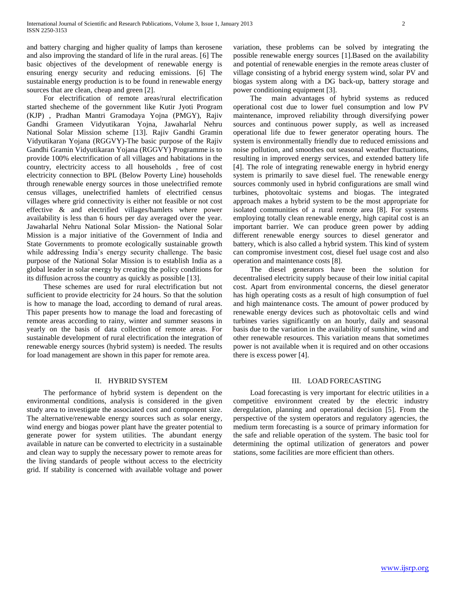and battery charging and higher quality of lamps than kerosene and also improving the standard of life in the rural areas. [6] The basic objectives of the development of renewable energy is ensuring energy security and reducing emissions. [6] The sustainable energy production is to be found in renewable energy sources that are clean, cheap and green [2].

 For electrification of remote areas/rural electrification started shecheme of the government like Kutir Jyoti Program (KJP) , Pradhan Mantri Gramodaya Yojna (PMGY), Rajiv Gandhi Grameen Vidyutikaran Yojna, Jawaharlal Nehru National Solar Mission scheme [13]. Rajiv Gandhi Gramin Vidyutikaran Yojana (RGGVY)-The basic purpose of the Rajiv Gandhi Gramin Vidyutikaran Yojana (RGGVY) Programme is to provide 100% electrification of all villages and habitations in the country, electricity access to all households , free of cost electricity connection to BPL (Below Poverty Line) households through renewable energy sources in those unelectrified remote census villages, unelectrified hamlets of electrified census villages where grid connectivity is either not feasible or not cost effective & and electrified villages/hamlets where power availability is less than 6 hours per day averaged over the year. Jawaharlal Nehru National Solar Mission- the National Solar Mission is a major initiative of the Government of India and State Governments to promote ecologically sustainable growth while addressing India's energy security challenge. The basic purpose of the National Solar Mission is to establish India as a global leader in solar energy by creating the policy conditions for its diffusion across the country as quickly as possible [13].

 These schemes are used for rural electrification but not sufficient to provide electricity for 24 hours. So that the solution is how to manage the load, according to demand of rural areas. This paper presents how to manage the load and forecasting of remote areas according to rainy, winter and summer seasons in yearly on the basis of data collection of remote areas. For sustainable development of rural electrification the integration of renewable energy sources (hybrid system) is needed. The results for load management are shown in this paper for remote area.

### II. HYBRID SYSTEM

 The performance of hybrid system is dependent on the environmental conditions, analysis is considered in the given study area to investigate the associated cost and component size. The alternative/renewable energy sources such as solar energy, wind energy and biogas power plant have the greater potential to generate power for system utilities. The abundant energy available in nature can be converted to electricity in a sustainable and clean way to supply the necessary power to remote areas for the living standards of people without access to the electricity grid. If stability is concerned with available voltage and power

variation, these problems can be solved by integrating the possible renewable energy sources [1].Based on the availability and potential of renewable energies in the remote areas cluster of village consisting of a hybrid energy system wind, solar PV and biogas system along with a DG back-up, battery storage and power conditioning equipment [3].

 The main advantages of hybrid systems as reduced operational cost due to lower fuel consumption and low PV maintenance, improved reliability through diversifying power sources and continuous power supply, as well as increased operational life due to fewer generator operating hours. The system is environmentally friendly due to reduced emissions and noise pollution, and smoothes out seasonal weather fluctuations, resulting in improved energy services, and extended battery life [4]. The role of integrating renewable energy in hybrid energy system is primarily to save diesel fuel. The renewable energy sources commonly used in hybrid configurations are small wind turbines, photovoltaic systems and biogas. The integrated approach makes a hybrid system to be the most appropriate for isolated communities of a rural remote area [8]. For systems employing totally clean renewable energy, high capital cost is an important barrier. We can produce green power by adding different renewable energy sources to diesel generator and battery, which is also called a hybrid system. This kind of system can compromise investment cost, diesel fuel usage cost and also operation and maintenance costs [8].

 The diesel generators have been the solution for decentralised electricity supply because of their low initial capital cost. Apart from environmental concerns, the diesel generator has high operating costs as a result of high consumption of fuel and high maintenance costs. The amount of power produced by renewable energy devices such as photovoltaic cells and wind turbines varies significantly on an hourly, daily and seasonal basis due to the variation in the availability of sunshine, wind and other renewable resources. This variation means that sometimes power is not available when it is required and on other occasions there is excess power [4].

# III. LOAD FORECASTING

 Load forecasting is very important for electric utilities in a competitive environment created by the electric industry deregulation, planning and operational decision [5]. From the perspective of the system operators and regulatory agencies, the medium term forecasting is a source of primary information for the safe and reliable operation of the system. The basic tool for determining the optimal utilization of generators and power stations, some facilities are more efficient than others.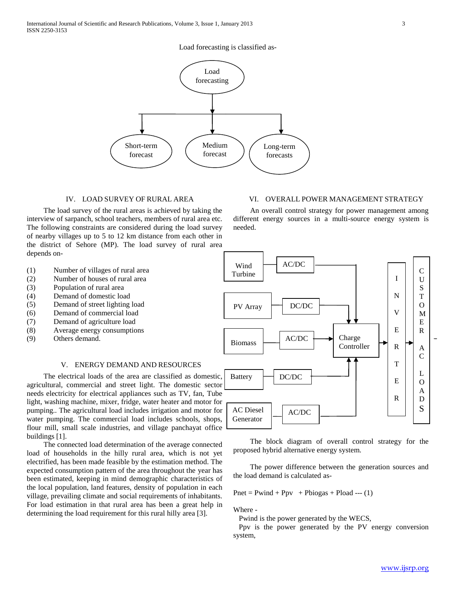# Load forecasting is classified as-



## IV. LOAD SURVEY OF RURAL AREA

 The load survey of the rural areas is achieved by taking the interview of sarpanch, school teachers, members of rural area etc. The following constraints are considered during the load survey of nearby villages up to 5 to 12 km distance from each other in the district of Sehore (MP). The load survey of rural area depends on-

- (1) Number of villages of rural area
- (2) Number of houses of rural area
- (3) Population of rural area
- (4) Demand of domestic load
- (5) Demand of street lighting load
- (6) Demand of commercial load
- (7) Demand of agriculture load
- (8) Average energy consumptions
- (9) Others demand.

# V. ENERGY DEMAND AND RESOURCES

 The electrical loads of the area are classified as domestic, agricultural, commercial and street light. The domestic sector needs electricity for electrical appliances such as TV, fan, Tube light, washing machine, mixer, fridge, water heater and motor for pumping.. The agricultural load includes irrigation and motor for water pumping. The commercial load includes schools, shops, flour mill, small scale industries, and village panchayat office buildings [1].

 The connected load determination of the average connected load of households in the hilly rural area, which is not yet electrified, has been made feasible by the estimation method. The expected consumption pattern of the area throughout the year has been estimated, keeping in mind demographic characteristics of the local population, land features, density of population in each village, prevailing climate and social requirements of inhabitants. For load estimation in that rural area has been a great help in determining the load requirement for this rural hilly area [3].

# VI. OVERALL POWER MANAGEMENT STRATEGY

 An overall control strategy for power management among different energy sources in a multi-source energy system is needed.



 The block diagram of overall control strategy for the proposed hybrid alternative energy system.

 The power difference between the generation sources and the load demand is calculated as-

 $Pnet = Pwind + Ppv + Pbiogas + Pload --- (1)$ 

Where -

Pwind is the power generated by the WECS,

 Ppv is the power generated by the PV energy conversion system,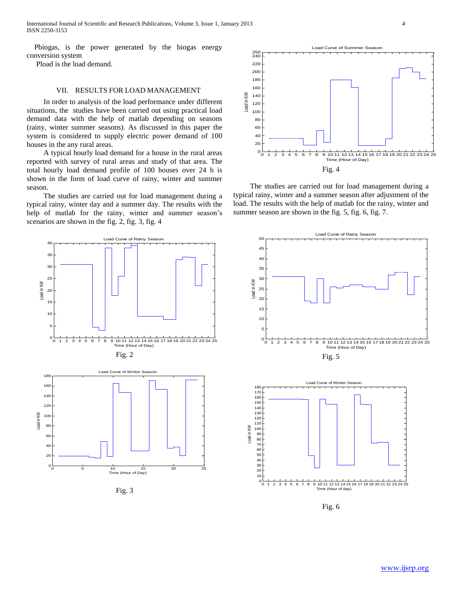Pbiogas, is the power generated by the biogas energy conversion system

Pload is the load demand.

# VII. RESULTS FOR LOAD MANAGEMENT

 In order to analysis of the load performance under different situations, the studies have been carried out using practical load demand data with the help of matlab depending on seasons (rainy, winter summer seasons). As discussed in this paper the system is considered to supply electric power demand of 100 houses in the any rural areas.

 A typical hourly load demand for a house in the rural areas reported with survey of rural areas and study of that area. The total hourly load demand profile of 100 houses over 24 h is shown in the form of load curve of rainy, winter and summer season.

 The studies are carried out for load management during a typical rainy, winter day and a summer day. The results with the help of matlab for the rainy, winter and summer season's scenarios are shown in the fig. 2, fig. 3, fig. 4



Fig. 3



 The studies are carried out for load management during a typical rainy, winter and a summer season after adjustment of the load. The results with the help of matlab for the rainy, winter and summer season are shown in the fig. 5, fig. 6, fig. 7.





Fig. 6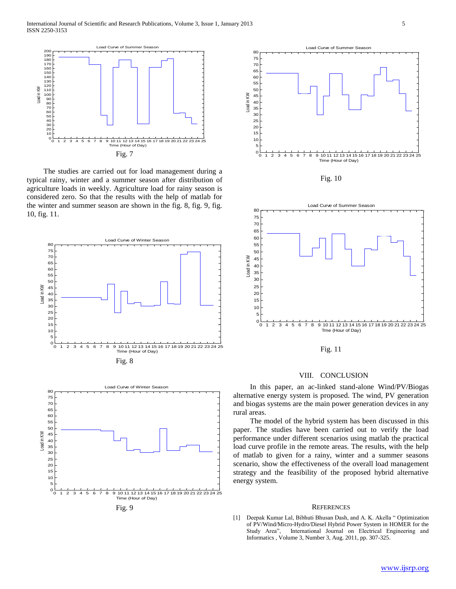

 The studies are carried out for load management during a typical rainy, winter and a summer season after distribution of agriculture loads in weekly. Agriculture load for rainy season is considered zero. So that the results with the help of matlab for the winter and summer season are shown in the fig. 8, fig. 9, fig. 10, fig. 11.



Fig. 9



Fig. 10



Fig. 11

#### VIII. CONCLUSION

 In this paper, an ac-linked stand-alone Wind/PV/Biogas alternative energy system is proposed. The wind, PV generation and biogas systems are the main power generation devices in any rural areas.

 The model of the hybrid system has been discussed in this paper. The studies have been carried out to verify the load performance under different scenarios using matlab the practical load curve profile in the remote areas. The results, with the help of matlab to given for a rainy, winter and a summer seasons scenario, show the effectiveness of the overall load management strategy and the feasibility of the proposed hybrid alternative energy system.

#### **REFERENCES**

[1] Deepak Kumar Lal, Bibhuti Bhusan Dash, and A. K. Akella " Optimization of PV/Wind/Micro-Hydro/Diesel Hybrid Power System in HOMER for the Study Area", International Journal on Electrical Engineering and Informatics , Volume 3, Number 3, Aug. 2011, pp. 307-325.